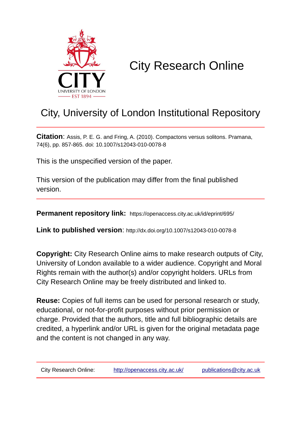

# City Research Online

# City, University of London Institutional Repository

**Citation**: Assis, P. E. G. and Fring, A. (2010). Compactons versus solitons. Pramana, 74(6), pp. 857-865. doi: 10.1007/s12043-010-0078-8

This is the unspecified version of the paper.

This version of the publication may differ from the final published version.

**Permanent repository link:** https://openaccess.city.ac.uk/id/eprint/695/

**Link to published version**: http://dx.doi.org/10.1007/s12043-010-0078-8

**Copyright:** City Research Online aims to make research outputs of City, University of London available to a wider audience. Copyright and Moral Rights remain with the author(s) and/or copyright holders. URLs from City Research Online may be freely distributed and linked to.

**Reuse:** Copies of full items can be used for personal research or study, educational, or not-for-profit purposes without prior permission or charge. Provided that the authors, title and full bibliographic details are credited, a hyperlink and/or URL is given for the original metadata page and the content is not changed in any way.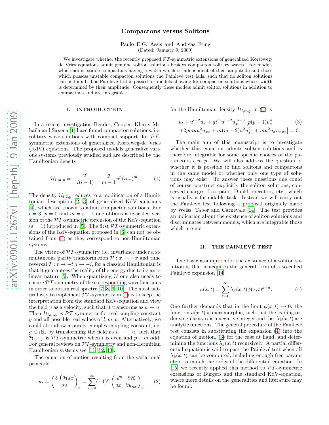# Compactons versus Solitons

Paulo E.G. Assis and Andreas Fring (Dated: January 9, 2009)

We investigate whether the recently proposed  $\mathcal{PT}$ -symmetric extensions of generalized Kortewegde Vries equations admit genuine soliton solutions besides compacton solitary waves. For models which admit stable compactons having a width which is independent of their amplitude and those which possess unstable compacton solutions the Painlevé test fails, such that no soliton solutions can be found. The Painlevé test is passed for models allowing for compacton solutions whose width is determined by their amplitude. Consequently these models admit soliton solutions in addition to compactons and are integrable.

#### I. INTRODUCTION

In a recent investigation Bender, Cooper, Khare, Mihaila and Saxena [\[1\]](#page-4-0) have found compacton solutions, i.e. solitary wave solutions with compact support, for  $\mathcal{PT}$ symmetric extensions of generalized Korteweg-de Vries (KdV) equations. The proposed models generalize various systems previously studied and are described by the Hamiltonian density

<span id="page-1-0"></span>
$$
\mathcal{H}_{l,m,p} = -\frac{u^l}{l(l-1)} - \frac{g}{m-1} u^p (iu_x)^m.
$$
 (1)

The density  $\mathcal{H}_{l,2,p}$  reduces to a modification of a Hamiltonian description [\[2,](#page-4-1) [3\]](#page-4-2) of generalized KdV-equations [\[4\]](#page-4-3), which are known to admit compacton solutions. For  $l = 3, p = 0$  and  $m = \varepsilon + 1$  one obtains a re-scaled version of the PT-symmetric extension of the KdV-equation ( $\varepsilon = 1$ ) introduced in [\[5\]](#page-4-4). The first PT-symmetric extensions of the KdV-equation proposed in [\[6](#page-4-5)] can not be obtained from [\(1\)](#page-1-0) as they correspond to non-Hamiltonian systems.

The virtue of  $\mathcal{PT}$ -symmetry, i.e. invariance under a simultaneous parity transformation  $\mathcal{P}: x \to -x$  and time reversal  $\mathcal{T}: t \to -t, i \to -i$ , for a classical Hamiltonian is that it guarantees the reality of the energy due to its anti-linear nature [\[5\]](#page-4-4). When quantizing  $H$  one also needs to ensure  $\mathcal{P}\mathcal{T}$ -symmetry of the corresponding wavefunctions in order to obtain real spectra [\[7](#page-4-6), [8,](#page-4-7) [9,](#page-4-8) [10](#page-4-9)]. The most natural way to implement  $\mathcal{PT}$ -symmetry in [\(1\)](#page-1-0) is to keep the interpretation from the standard KdV-equation and view the field u as a velocity, such that it transforms as  $u \to u$ . Then  $\mathcal{H}_{l,m,p}$  is  $\mathcal{PT}$ -symmetric for real coupling constant g and all possible real values of  $l, m, p$ . Alternatively, we could also allow a purely complex coupling constant, i.e.  $g \in i\mathbb{R}$ , by transforming the field as  $u \to -u$ , such that  $\mathcal{H}_{l,m,p}$  is PT-symmetric when l is even and  $p+m$  odd. For general reviews on  $\mathcal{PT}$ -symmetry and non-Hermitian Hamiltonian systems see [\[11](#page-4-10), [12](#page-4-11), [13](#page-4-12)].

The equation of motion resulting from the variational principle

$$
u_t = \left(\frac{\delta \int \mathcal{H} dx}{\delta u}\right)_x = \sum_{n=0}^{\infty} (-1)^n \left(\frac{d^n}{dx^n} \frac{\partial \mathcal{H}}{\partial u_{nx}}\right)_x \tag{2}
$$

for the Hamiltonian density  $\mathcal{H}_{l,m,p}$  in [\(1\)](#page-1-0) is

<span id="page-1-2"></span>
$$
u_t + u^{l-2}u_x + gi^m u^{p-2} u_x^{m-3} \left[ p(p-1)u_x^4 \right] \tag{3}
$$
  
+2pmuu<sub>x</sub><sup>2</sup> $u_{xx} + m(m-2)u^2 u_{xx}^2 + m u^2 u_x u_{xxx} \right] = 0.$ 

The main aim of this manuscript is to investigate whether this equation admits soliton solutions and is therefore integrable for some specific choices of the parameters  $l, m, p$ . We will also address the question of whether it is possible to find solitons and compactons in the same model or whether only one type of solutions may exist. To answer these questions one could of course construct explicitly the soliton solutions, conserved charges, Lax pairs, Dunkl operators, etc., which is usually a formidable task. Instead we will carry out the Painlevé test following a proposal originally made by Weiss, Tabor and Carnevale [\[14\]](#page-4-13). The test provides an indication about the existence of soliton solutions and discriminates between models, which are integrable those which are not.

#### II. THE PAINLEVÉ TEST

The basic assumption for the existence of a soliton solution is that it acquires the general form of a so-called Painlevé expansion [\[14](#page-4-13)]

<span id="page-1-1"></span>
$$
u(x,t) = \sum_{k=0}^{\infty} \lambda_k(x,t)\phi(x,t)^{k+\alpha}.
$$
 (4)

One further demands that in the limit  $\phi(x,t) \to 0$ , the function  $u(x, t)$  is meromorphic, such that the leading order singularity  $\alpha$  is a negative integer and the  $\lambda_k(x, t)$  are analytic functions. The general procedure of the Painlevé test consists in substituting the expansion [\(4\)](#page-1-1) into the equation of motion, [\(3\)](#page-1-2) for the case at hand, and determining the functions  $\lambda_k(x, t)$  recursively. A partial differential equation is said to pass the Painlevé test when all  $\lambda_k(x, t)$  can be computed, including enough free parameters to match the order of the differential equation. In [\[15\]](#page-4-14) we recently applied this method to  $\mathcal{PT}$ -symmetric extensions of Burgers and the standard KdV-equation, where more details on the generalities and literature may be found.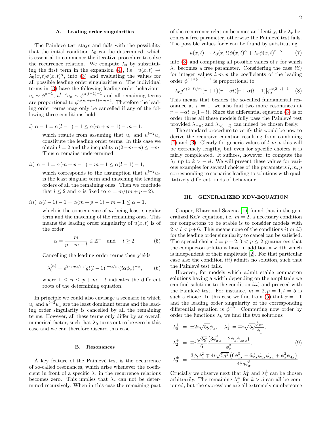# A. Leading order singularities

The Painlevé test stays and falls with the possibility that the initial condition  $\lambda_0$  can be determined, which is essential to commence the iterative procedure to solve the recurrence relation. We compute  $\lambda_0$  by substitut-ing the first term in the expansion [\(4\)](#page-1-1), i.e.  $u(x,t) \rightarrow$  $\lambda_0(x,t)\phi(x,t)^\alpha$ , into [\(3\)](#page-1-2) and evaluating the values for all possible leading order singularities  $\alpha$ . The individual terms in [\(3\)](#page-1-2) have the following leading order behaviour:  $u_t \sim \phi^{\alpha-1}$ ,  $u^{l-2}u_x \sim \phi^{\alpha(l-1)-1}$  and all remaining terms are proportional to  $\phi^{\alpha(m+p-1)-m-1}$ . Therefore the leading order terms may only be cancelled if any of the following three conditions hold:

i) 
$$
\alpha - 1 = \alpha(l - 1) - 1 \leq \alpha(m + p - 1) - m - 1,
$$

which results from assuming that  $u_t$  and  $u^{l-2}u_x$ constitute the leading order terms. In this case we obtain  $l = 2$  and the inequality  $\alpha(2-m-p) \leq -m$ . Thus  $\alpha$  remains undetermined.

ii)  $\alpha - 1 = \alpha(m + p - 1) - m - 1 \leq \alpha(l - 1) - 1$ ,

which corresponds to the assumption that  $u^{l-2}u_x$ is the least singular term and matching the leading orders of all the remaining ones. Then we conclude that  $l \leq 2$  and  $\alpha$  is fixed to  $\alpha = m/(m+p-2)$ .

*iii*) 
$$
\alpha(l-1) - 1 = \alpha(m+p-1) - m - 1 \leq \alpha - 1.
$$

which is the consequence of  $u_t$  being least singular term and the matching of the remaining ones. This means the leading order singularity of  $u(x, t)$  is of the order

<span id="page-2-0"></span>
$$
\alpha = \frac{m}{p+m-l} \in \mathbb{Z}^- \quad \text{and} \quad l \ge 2. \tag{5}
$$

Cancelling the leading order terms then yields

$$
\lambda_0^{(n)} = e^{2\pi i n\alpha/m} [gl(l-1)]^{-\alpha/m} (i\alpha \phi_x)^{-\alpha}, \qquad (6)
$$

where  $1 \leq n \leq p + m - l$  indicates the different roots of the determining equation.

In principle we could also envisage a scenario in which  $u_t$  and  $u^{l-2}u_x$  are the least dominant terms and the leading order singularity is cancelled by all the remaining terms. However, all these terms only differ by an overall numerical factor, such that  $\lambda_0$  turns out to be zero in this case and we can therefore discard this case.

#### B. Resonances

A key feature of the Painlevé test is the occurrence of so-called resonances, which arise whenever the coefficient in front of a specific  $\lambda_r$  in the recurrence relations becomes zero. This implies that  $\lambda_r$  can not be determined recursively. When in this case the remaining part

of the recurrence relation becomes an identity, the  $\lambda_r$  becomes a free parameter, otherwise the Painlevé test fails. The possible values for  $r$  can be found by substituting

<span id="page-2-1"></span>
$$
u(x,t) \to \lambda_0(x,t)\phi(x,t)^\alpha + \lambda_r \phi(x,t)^{r+\alpha} \tag{7}
$$

into  $(3)$  and computing all possible values of r for which  $\lambda_r$  becomes a free parameter. Considering the case *iii*) for integer values  $l, m, p$  the coefficients of the leading order  $\phi^{r+\alpha(l-1)-1}$  is proportional to

$$
\lambda_r g^{\alpha(2-l)/m}(r+1)(r+\alpha l)[r+\alpha(l-1)]\phi_x^{\alpha(2-l)+1}.
$$
 (8)

This means that besides the so-called fundamental resonance at  $r = 1$ , we also find two more resonances at  $r = -\alpha l, \alpha(1-l)$ . Since the differential equation [\(3\)](#page-1-2) is of order three all these models fully pass the Painlevé test provided  $\lambda_{-\alpha l}$  and  $\lambda_{\alpha(1-l)}$  can indeed be chosen freely.

The standard procedure to verify this would be now to derive the recursive equation resulting from combining [\(4\)](#page-1-1) and [\(3\)](#page-1-2). Clearly for generic values of  $l, m, p$  this will be extremely lengthy, but even for specific choices it is fairly complicated. It suffices, however, to compute the  $\lambda_k$  up to  $k > -\alpha l$ . We will present these values for various examples for several choices of the parameters  $l, m, p$ corresponding to scenarios leading to solutions with qualitatively different kinds of behaviour.

# III. GENERALIZED KDV-EQUATION

Cooper, Khare and Saxena [\[16](#page-4-15)] found that in the generalized KdV equation, i.e.  $m = 2$ , a necessary condition for compactons to be stable is to consider models with  $2 < l < p+6$ . This means none of the conditions i) or ii) for the leading order singularity to cancel can be satisfied. The special choice  $l = p + 2, 0 < p \leq 2$  guarantees that the compacton solutions have in addition a width which is independent of their amplitude [\[2](#page-4-1)]. For that particular case also the condition  $iii)$  admits no solution, such that the Painlevé test fails.

However, for models which admit stable compacton solutions having a width depending on the amplitude we can find solutions to the condition iii) and proceed with the Painlevé test. For instance,  $m = 2, p = 1, l = 5$  is such a choice. In this case we find from [\(5\)](#page-2-0) that  $\alpha = -1$ and the leading order singularity of the corresponding differential equation is  $\phi^{-5}$ . Computing now order by order the functions  $\lambda_k$  we find the two solutions

$$
\lambda_0^{\pm} = \pm 2i\sqrt{5g}\phi_x, \quad \lambda_1^{\pm} = \mp i\sqrt{5g}\frac{\phi_{xx}}{\phi_x}, \n\lambda_2^{\pm} = \mp i\frac{\sqrt{5g}}{6}\frac{(3\phi_{xx}^2 - 2\phi_x \phi_{xxx})}{\phi_x^3}, \quad (9) \n\lambda_3^{\pm} = \frac{3\phi_t \phi_x^2 \mp 4i\sqrt{5g^3} (6\phi_{xx}^3 - 6\phi_x \phi_{3x} \phi_{xx} + \phi_x^2 \phi_{4x})}{48g\phi_x^5}.
$$

Crucially we observe next that  $\lambda_4^{\pm}$  $rac{1}{4}$  and  $\lambda_5^{\pm}$  $\frac{1}{5}$  can be chosen arbitrarily. The remaining  $\lambda_k^{\pm}$  $\frac{1}{k}$  for  $k > 5$  can all be computed, but the expressions are all extremely cumbersome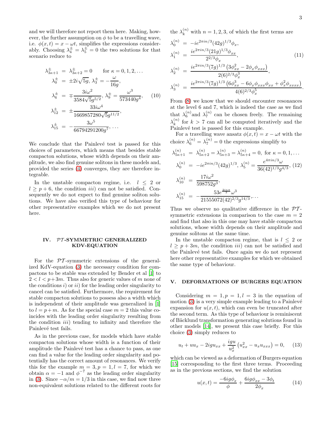and we will therefore not report them here. Making, however, the further assumption on  $\phi$  to be a travelling wave, i.e.  $\phi(x,t) = x - \omega t$ , simplifies the expressions considerably. Choosing  $\lambda_4^{\pm} = \lambda_5^{\pm} = 0$  the two solutions for that scenario reduce to

$$
\lambda_{3\kappa+1}^{\pm} = \lambda_{3\kappa+2}^{\pm} = 0 \quad \text{for } \kappa = 0, 1, 2, \dots
$$

$$
\lambda_0^{\pm} = \pm 2i\sqrt{5g}, \lambda_3^{\pm} = -\frac{\omega}{16g},
$$

$$
\lambda_6^{\pm} = \mp \frac{3i\omega^2}{3584\sqrt{5g^{5/2}}}, \lambda_9^{\pm} = \frac{\omega^3}{573440g^4}, \quad (10)
$$

$$
\lambda_{12}^{\pm} = \pm \frac{33i\omega^4}{1669857280\sqrt{5g^{11/2}}},
$$

$$
\lambda_{15}^{\pm} = -\frac{3\omega^5}{66794291200g^7}, \dots
$$

We conclude that the Painlevé test is passed for this choices of parameters, which means that besides stable compacton solutions, whose width depends on their amplitude, we also find genuine solitons in these models and, provided the series [\(4\)](#page-1-1) converges, they are therefore integrable.

In the unstable compacton regime, i.e.  $l \leq 2$  or  $l \geq p+6$ , the condition *iii*) can not be satisfied. Consequently we do not expect to find genuine soliton solutions. We have also verified this type of behaviour for other representative examples which we do not present here.

## IV. PT -SYMMETRIC GENERALIZED KDV-EQUATION

For the  $\mathcal{P}T$ -symmetric extensions of the generalized KdV-equation [\(3\)](#page-1-2) the necessary condition for compactons to be stable was extended by Bender et al [\[1](#page-4-0)] to  $2 < l < p+3m$ . Thus also for generic values of m none of the conditions  $i)$  or  $ii)$  for the leading order singularity to cancel can be satisfied. Furthermore, the requirement for stable compacton solutions to possess also a width which is independent of their amplitude was generalized in [\[1](#page-4-0)] to  $l = p+m$ . As for the special case  $m = 2$  this value coincides with the leading order singularity resulting from the condition *iii*) tending to infinity and therefore the Painlevé test fails.

As in the previous case, for models which have stable compacton solutions whose width is a function of their amplitude the Painlevé test has a chance to pass, as one can find a value for the leading order singularity and potentially has the correct amount of resonances. We verify this for the example  $m = 3, p = 1, l = 7$ , for which we obtain  $\alpha = -1$  and  $\phi^{-7}$  as the leading order singularity in [\(3\)](#page-1-2). Since  $-\alpha/m = 1/3$  in this case, we find now three non-equivalent solutions related to the different roots for

the  $\lambda_k^{(n)}$  with  $n = 1, 2, 3$ , of which the first terms are

$$
\lambda_0^{(n)} = -ie^{2\pi i n/3} (42g)^{1/3} \phi_x,
$$
  
\n
$$
\lambda_1^{(n)} = \frac{ie^{2\pi i n/3} (21g)^{1/3} \phi_{xx}}{2^{2/3} \phi_x},
$$
\n(11)

$$
\lambda_2^{(n)} = \frac{ie^{2\pi i n/3} (7g)^{1/3} (3\phi_{xx}^2 - 2\phi_x \phi_{xxx})}{2(6)^{2/3} \phi_x^3},
$$
  
\n
$$
\lambda_3^{(n)} = \frac{ie^{2\pi i n/3} (7g)^{1/3} (6\phi_{xx}^3 - 6\phi_x \phi_{xxx} \phi_{xx} + \phi_x^2 \phi_{xxx})}{4(6)^{2/3} \phi_x^5}.
$$

From [\(8\)](#page-2-1) we know that we should encounter resonances at the level 6 and 7, which is indeed the case as we find that  $\lambda_6^{(n)}$  and  $\lambda_7^{(n)}$  can be chosen freely. The remaining  $\lambda_k^{(n)}$  $\binom{n}{k}$  for  $k > 7$  can all be computed iteratively and the Painlevé test is passed for this example.

For a travelling wave ansatz  $\phi(x, t) = x - \omega t$  with the choice  $\lambda_6^{(n)} = \lambda_7^{(n)} = 0$  the expressions simplify to

$$
\lambda_{5\kappa+1}^{(n)} = \lambda_{5\kappa+2}^{(n)} = \lambda_{5\kappa+3}^{(n)} = \lambda_{5\kappa+4}^{(n)} = 0, \text{ for } \kappa = 0, 1, ...
$$

$$
\lambda_0^{(n)} = -ie^{2\pi i n/3} (42g)^{1/3}, \lambda_5^{(n)} = \frac{e^{4\pi i n/3} \omega}{36(42)^{1/3} g^{4/3}}, (12)
$$

$$
\lambda_{10}^{(n)} = \frac{17i\omega^2}{598752g^3},
$$

$$
\lambda_{15}^{(n)} = -\frac{53e^{\frac{2i n \pi}{3}} \omega^3}{21555072(42)^{2/3} g^{14/3}}, ...
$$

Thus we observe no qualitative difference in the  $\mathcal{P}\mathcal{T}$ symmetric extensions in comparison to the case  $m = 2$ and find that also in this one may have stable compacton solutions, whose width depends on their amplitude and genuine solitons at the same time.

In the unstable compacton regime, that is  $l \leq 2$  or  $l \geq p + 3m$ , the condition *iii*) can not be satisfied and the Painlevé test fails. Once again we do not represent here other representative examples for which we obtained the same type of behaviour.

#### V. DEFORMATIONS OF BURGERS EQUATION

Considering  $m = 1, p = 1, l = 3$  in the equation of motion  $(3)$  is a very simple example leading to a Painlevé expansion for  $u(x, t)$ , which can even be truncated after the second term. As this type of behaviour is reminiscent of B¨acklund transformation generating solutions found in other models [\[14\]](#page-4-13), we present this case briefly. For this choice [\(3\)](#page-1-2) simply reduces to

<span id="page-3-0"></span>
$$
u_t + uu_x - 2igu_{xx} + \frac{igu}{u_x^2} \left( u_{xx}^2 - u_x u_{xxx} \right) = 0, \quad (13)
$$

which can be viewed as a deformation of Burgers equation [\[15\]](#page-4-14) corresponding to the first three terms. Proceeding as in the previous sections, we find the solution

$$
u(x,t) = \frac{-6ig\phi_x}{\phi} + \frac{6ig\phi_{xx} - 3\phi_t}{2\phi_x} \tag{14}
$$